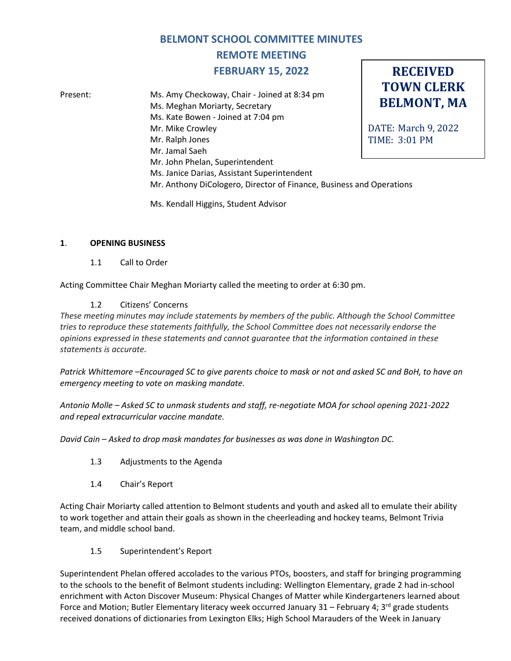# **BELMONT SCHOOL COMMITTEE MINUTES**

# **REMOTE MEETING FEBRUARY 15, 2022**

**RECEIVED**

**TOWN CLERK BELMONT, MA** DATE: March 9, 2022 TIME: 3:01 PM Present: Ms. Amy Checkoway, Chair - Joined at 8:34 pm Ms. Meghan Moriarty, Secretary Ms. Kate Bowen - Joined at 7:04 pm Mr. Mike Crowley Mr. Ralph Jones Mr. Jamal Saeh Mr. John Phelan, Superintendent Ms. Janice Darias, Assistant Superintendent Mr. Anthony DiCologero, Director of Finance, Business and Operations

Ms. Kendall Higgins, Student Advisor

# **1**. **OPENING BUSINESS**

1.1 Call to Order

Acting Committee Chair Meghan Moriarty called the meeting to order at 6:30 pm.

# 1.2 Citizens' Concerns

*These meeting minutes may include statements by members of the public. Although the School Committee tries to reproduce these statements faithfully, the School Committee does not necessarily endorse the opinions expressed in these statements and cannot guarantee that the information contained in these statements is accurate.*

*Patrick Whittemore –Encouraged SC to give parents choice to mask or not and asked SC and BoH, to have an emergency meeting to vote on masking mandate.* 

*Antonio Molle – Asked SC to unmask students and staff, re-negotiate MOA for school opening 2021-2022 and repeal extracurricular vaccine mandate.* 

*David Cain – Asked to drop mask mandates for businesses as was done in Washington DC.*

- 1.3 Adjustments to the Agenda
- 1.4 Chair's Report

Acting Chair Moriarty called attention to Belmont students and youth and asked all to emulate their ability to work together and attain their goals as shown in the cheerleading and hockey teams, Belmont Trivia team, and middle school band.

1.5 Superintendent's Report

Superintendent Phelan offered accolades to the various PTOs, boosters, and staff for bringing programming to the schools to the benefit of Belmont students including: Wellington Elementary, grade 2 had in-school enrichment with Acton Discover Museum: Physical Changes of Matter while Kindergarteners learned about Force and Motion; Butler Elementary literacy week occurred January 31 – February 4; 3<sup>rd</sup> grade students received donations of dictionaries from Lexington Elks; High School Marauders of the Week in January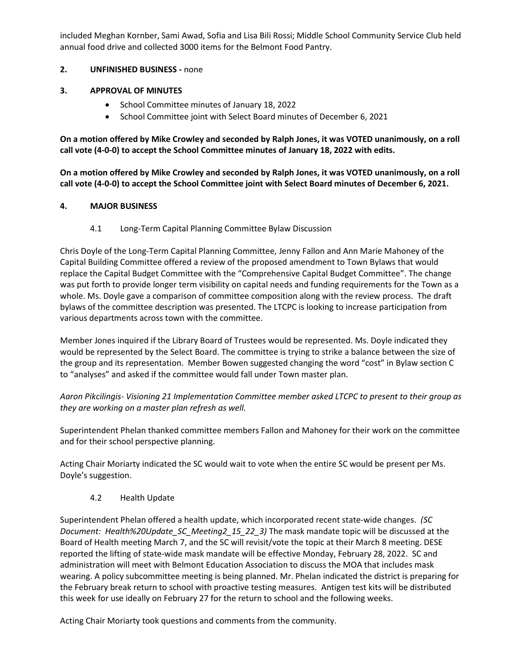included Meghan Kornber, Sami Awad, Sofia and Lisa Bili Rossi; Middle School Community Service Club held annual food drive and collected 3000 items for the Belmont Food Pantry.

# **2. UNFINISHED BUSINESS -** none

### **3. APPROVAL OF MINUTES**

- School Committee minutes of January 18, 2022
- School Committee joint with Select Board minutes of December 6, 2021

**On a motion offered by Mike Crowley and seconded by Ralph Jones, it was VOTED unanimously, on a roll call vote (4-0-0) to accept the School Committee minutes of January 18, 2022 with edits.**

**On a motion offered by Mike Crowley and seconded by Ralph Jones, it was VOTED unanimously, on a roll call vote (4-0-0) to accept the School Committee joint with Select Board minutes of December 6, 2021.**

#### **4. MAJOR BUSINESS**

4.1 Long-Term Capital Planning Committee Bylaw Discussion

Chris Doyle of the Long-Term Capital Planning Committee, Jenny Fallon and Ann Marie Mahoney of the Capital Building Committee offered a review of the proposed amendment to Town Bylaws that would replace the Capital Budget Committee with the "Comprehensive Capital Budget Committee". The change was put forth to provide longer term visibility on capital needs and funding requirements for the Town as a whole. Ms. Doyle gave a comparison of committee composition along with the review process. The draft bylaws of the committee description was presented. The LTCPC is looking to increase participation from various departments across town with the committee.

Member Jones inquired if the Library Board of Trustees would be represented. Ms. Doyle indicated they would be represented by the Select Board. The committee is trying to strike a balance between the size of the group and its representation. Member Bowen suggested changing the word "cost" in Bylaw section C to "analyses" and asked if the committee would fall under Town master plan.

*Aaron Pikcilingis- Visioning 21 Implementation Committee member asked LTCPC to present to their group as they are working on a master plan refresh as well.*

Superintendent Phelan thanked committee members Fallon and Mahoney for their work on the committee and for their school perspective planning.

Acting Chair Moriarty indicated the SC would wait to vote when the entire SC would be present per Ms. Doyle's suggestion.

# 4.2 Health Update

Superintendent Phelan offered a health update, which incorporated recent state-wide changes. *(SC Document: Health%20Update\_SC\_Meeting2\_15\_22\_3)* The mask mandate topic will be discussed at the Board of Health meeting March 7, and the SC will revisit/vote the topic at their March 8 meeting. DESE reported the lifting of state-wide mask mandate will be effective Monday, February 28, 2022. SC and administration will meet with Belmont Education Association to discuss the MOA that includes mask wearing. A policy subcommittee meeting is being planned. Mr. Phelan indicated the district is preparing for the February break return to school with proactive testing measures. Antigen test kits will be distributed this week for use ideally on February 27 for the return to school and the following weeks.

Acting Chair Moriarty took questions and comments from the community.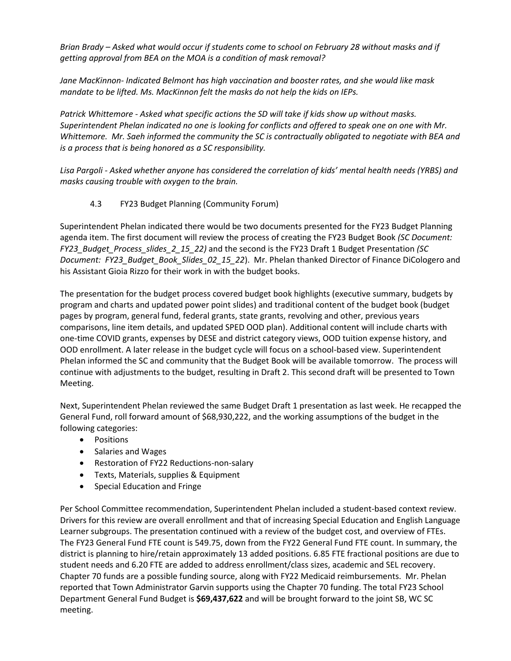*Brian Brady – Asked what would occur if students come to school on February 28 without masks and if getting approval from BEA on the MOA is a condition of mask removal?* 

*Jane MacKinnon- Indicated Belmont has high vaccination and booster rates, and she would like mask mandate to be lifted. Ms. MacKinnon felt the masks do not help the kids on IEPs.* 

*Patrick Whittemore - Asked what specific actions the SD will take if kids show up without masks. Superintendent Phelan indicated no one is looking for conflicts and offered to speak one on one with Mr. Whittemore. Mr. Saeh informed the community the SC is contractually obligated to negotiate with BEA and is a process that is being honored as a SC responsibility.*

*Lisa Pargoli - Asked whether anyone has considered the correlation of kids' mental health needs (YRBS) and masks causing trouble with oxygen to the brain.*

# 4.3 FY23 Budget Planning (Community Forum)

Superintendent Phelan indicated there would be two documents presented for the FY23 Budget Planning agenda item. The first document will review the process of creating the FY23 Budget Book *(SC Document: FY23\_Budget\_Process\_slides\_2\_15\_22)* and the second is the FY23 Draft 1 Budget Presentation *(SC Document: FY23\_Budget\_Book\_Slides\_02\_15\_22*). Mr. Phelan thanked Director of Finance DiCologero and his Assistant Gioia Rizzo for their work in with the budget books.

The presentation for the budget process covered budget book highlights (executive summary, budgets by program and charts and updated power point slides) and traditional content of the budget book (budget pages by program, general fund, federal grants, state grants, revolving and other, previous years comparisons, line item details, and updated SPED OOD plan). Additional content will include charts with one-time COVID grants, expenses by DESE and district category views, OOD tuition expense history, and OOD enrollment. A later release in the budget cycle will focus on a school-based view. Superintendent Phelan informed the SC and community that the Budget Book will be available tomorrow. The process will continue with adjustments to the budget, resulting in Draft 2. This second draft will be presented to Town Meeting.

Next, Superintendent Phelan reviewed the same Budget Draft 1 presentation as last week. He recapped the General Fund, roll forward amount of \$68,930,222, and the working assumptions of the budget in the following categories:

- Positions
- Salaries and Wages
- Restoration of FY22 Reductions-non-salary
- Texts, Materials, supplies & Equipment
- Special Education and Fringe

Per School Committee recommendation, Superintendent Phelan included a student-based context review. Drivers for this review are overall enrollment and that of increasing Special Education and English Language Learner subgroups. The presentation continued with a review of the budget cost, and overview of FTEs. The FY23 General Fund FTE count is 549.75, down from the FY22 General Fund FTE count. In summary, the district is planning to hire/retain approximately 13 added positions. 6.85 FTE fractional positions are due to student needs and 6.20 FTE are added to address enrollment/class sizes, academic and SEL recovery. Chapter 70 funds are a possible funding source, along with FY22 Medicaid reimbursements. Mr. Phelan reported that Town Administrator Garvin supports using the Chapter 70 funding. The total FY23 School Department General Fund Budget is **\$69,437,622** and will be brought forward to the joint SB, WC SC meeting.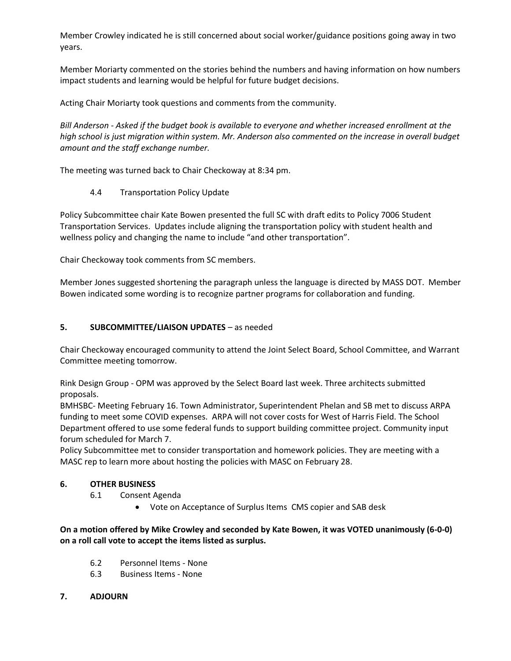Member Crowley indicated he is still concerned about social worker/guidance positions going away in two years.

Member Moriarty commented on the stories behind the numbers and having information on how numbers impact students and learning would be helpful for future budget decisions.

Acting Chair Moriarty took questions and comments from the community.

*Bill Anderson - Asked if the budget book is available to everyone and whether increased enrollment at the high school is just migration within system. Mr. Anderson also commented on the increase in overall budget amount and the staff exchange number.*

The meeting was turned back to Chair Checkoway at 8:34 pm.

4.4 Transportation Policy Update

Policy Subcommittee chair Kate Bowen presented the full SC with draft edits to Policy 7006 Student Transportation Services. Updates include aligning the transportation policy with student health and wellness policy and changing the name to include "and other transportation".

Chair Checkoway took comments from SC members.

Member Jones suggested shortening the paragraph unless the language is directed by MASS DOT. Member Bowen indicated some wording is to recognize partner programs for collaboration and funding.

#### **5. SUBCOMMITTEE/LIAISON UPDATES** – as needed

Chair Checkoway encouraged community to attend the Joint Select Board, School Committee, and Warrant Committee meeting tomorrow.

Rink Design Group - OPM was approved by the Select Board last week. Three architects submitted proposals.

BMHSBC- Meeting February 16. Town Administrator, Superintendent Phelan and SB met to discuss ARPA funding to meet some COVID expenses. ARPA will not cover costs for West of Harris Field. The School Department offered to use some federal funds to support building committee project. Community input forum scheduled for March 7.

Policy Subcommittee met to consider transportation and homework policies. They are meeting with a MASC rep to learn more about hosting the policies with MASC on February 28.

#### **6. OTHER BUSINESS**

- 6.1 Consent Agenda
	- Vote on Acceptance of Surplus Items CMS copier and SAB desk

**On a motion offered by Mike Crowley and seconded by Kate Bowen, it was VOTED unanimously (6-0-0) on a roll call vote to accept the items listed as surplus.**

- 6.2 Personnel Items None
- 6.3 Business Items None

# **7. ADJOURN**